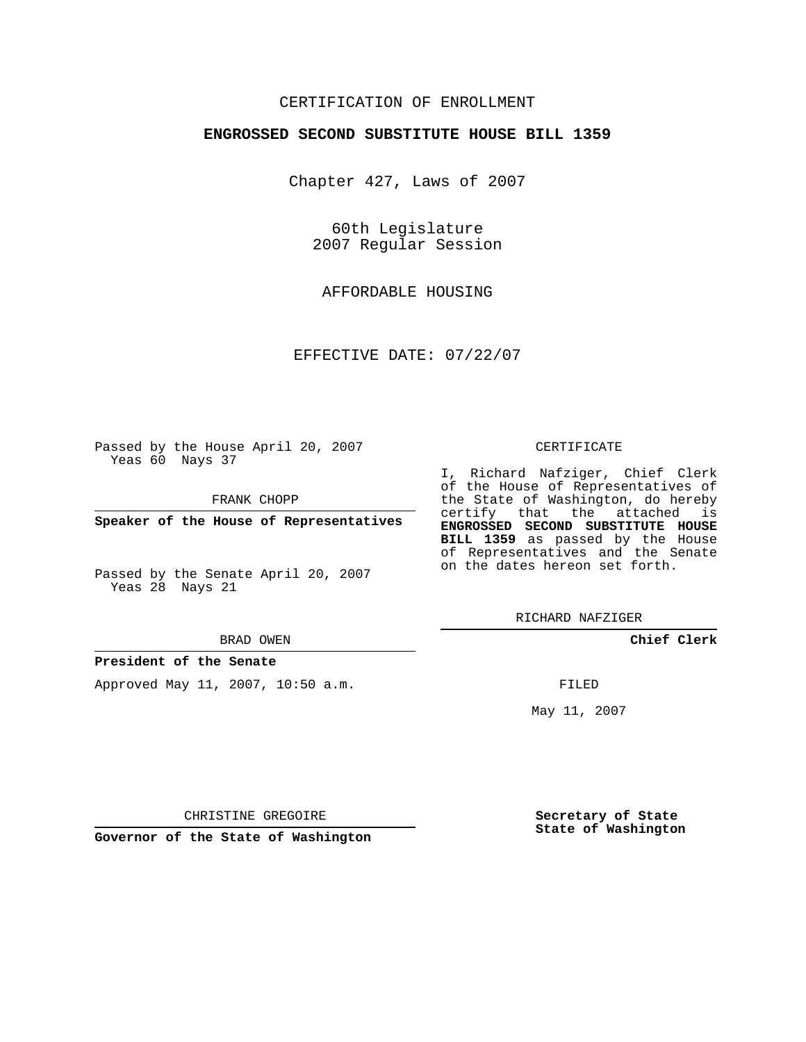## CERTIFICATION OF ENROLLMENT

### **ENGROSSED SECOND SUBSTITUTE HOUSE BILL 1359**

Chapter 427, Laws of 2007

60th Legislature 2007 Regular Session

AFFORDABLE HOUSING

EFFECTIVE DATE: 07/22/07

Passed by the House April 20, 2007 Yeas 60 Nays 37

FRANK CHOPP

**Speaker of the House of Representatives**

Passed by the Senate April 20, 2007 Yeas 28 Nays 21

#### BRAD OWEN

**President of the Senate**

Approved May 11, 2007, 10:50 a.m.

### CERTIFICATE

I, Richard Nafziger, Chief Clerk of the House of Representatives of the State of Washington, do hereby certify that the attached is **ENGROSSED SECOND SUBSTITUTE HOUSE BILL 1359** as passed by the House of Representatives and the Senate on the dates hereon set forth.

RICHARD NAFZIGER

**Chief Clerk**

FILED

May 11, 2007

**Secretary of State State of Washington**

CHRISTINE GREGOIRE

**Governor of the State of Washington**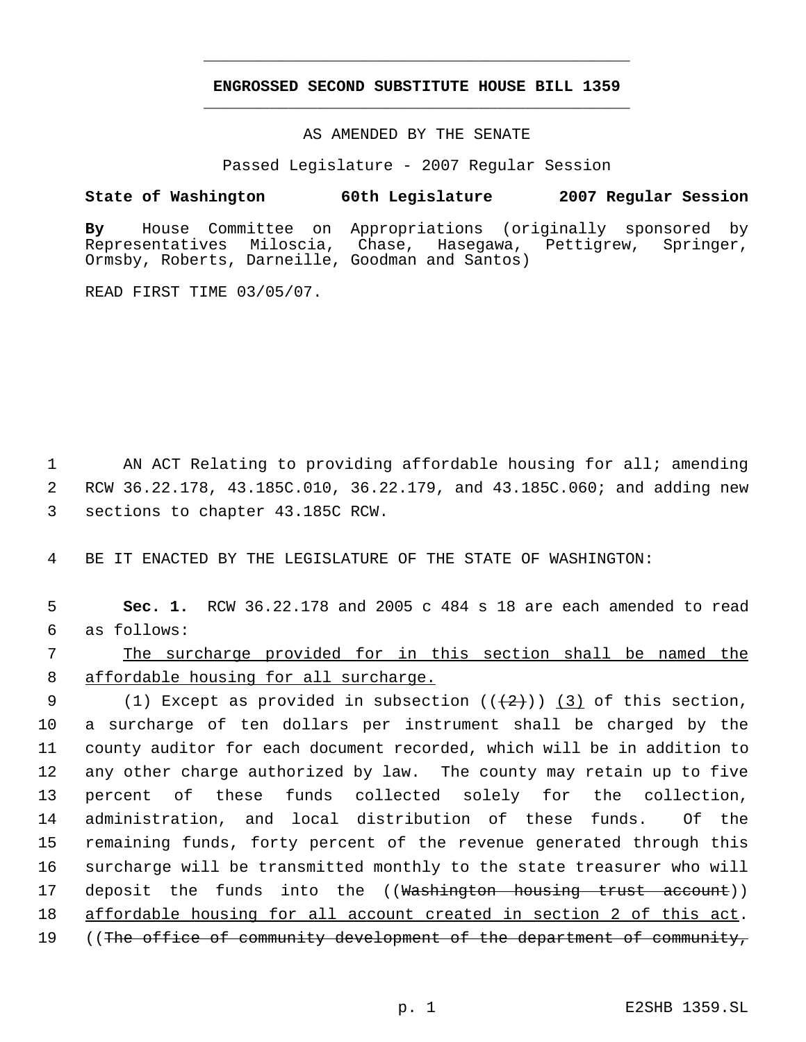# **ENGROSSED SECOND SUBSTITUTE HOUSE BILL 1359** \_\_\_\_\_\_\_\_\_\_\_\_\_\_\_\_\_\_\_\_\_\_\_\_\_\_\_\_\_\_\_\_\_\_\_\_\_\_\_\_\_\_\_\_\_

\_\_\_\_\_\_\_\_\_\_\_\_\_\_\_\_\_\_\_\_\_\_\_\_\_\_\_\_\_\_\_\_\_\_\_\_\_\_\_\_\_\_\_\_\_

### AS AMENDED BY THE SENATE

Passed Legislature - 2007 Regular Session

### **State of Washington 60th Legislature 2007 Regular Session**

**By** House Committee on Appropriations (originally sponsored by Miloscia, Chase, Hasegawa, Pettigrew, Springer, Ormsby, Roberts, Darneille, Goodman and Santos)

READ FIRST TIME 03/05/07.

1 AN ACT Relating to providing affordable housing for all; amending 2 RCW 36.22.178, 43.185C.010, 36.22.179, and 43.185C.060; and adding new 3 sections to chapter 43.185C RCW.

4 BE IT ENACTED BY THE LEGISLATURE OF THE STATE OF WASHINGTON:

 5 **Sec. 1.** RCW 36.22.178 and 2005 c 484 s 18 are each amended to read 6 as follows:

# 7 The surcharge provided for in this section shall be named the 8 affordable housing for all surcharge.

9 (1) Except as provided in subsection  $((+2)^2)$  (3) of this section, a surcharge of ten dollars per instrument shall be charged by the county auditor for each document recorded, which will be in addition to any other charge authorized by law. The county may retain up to five percent of these funds collected solely for the collection, administration, and local distribution of these funds. Of the remaining funds, forty percent of the revenue generated through this surcharge will be transmitted monthly to the state treasurer who will 17 deposit the funds into the ((Washington housing trust account)) affordable housing for all account created in section 2 of this act. 19 ((The office of community development of the department of community,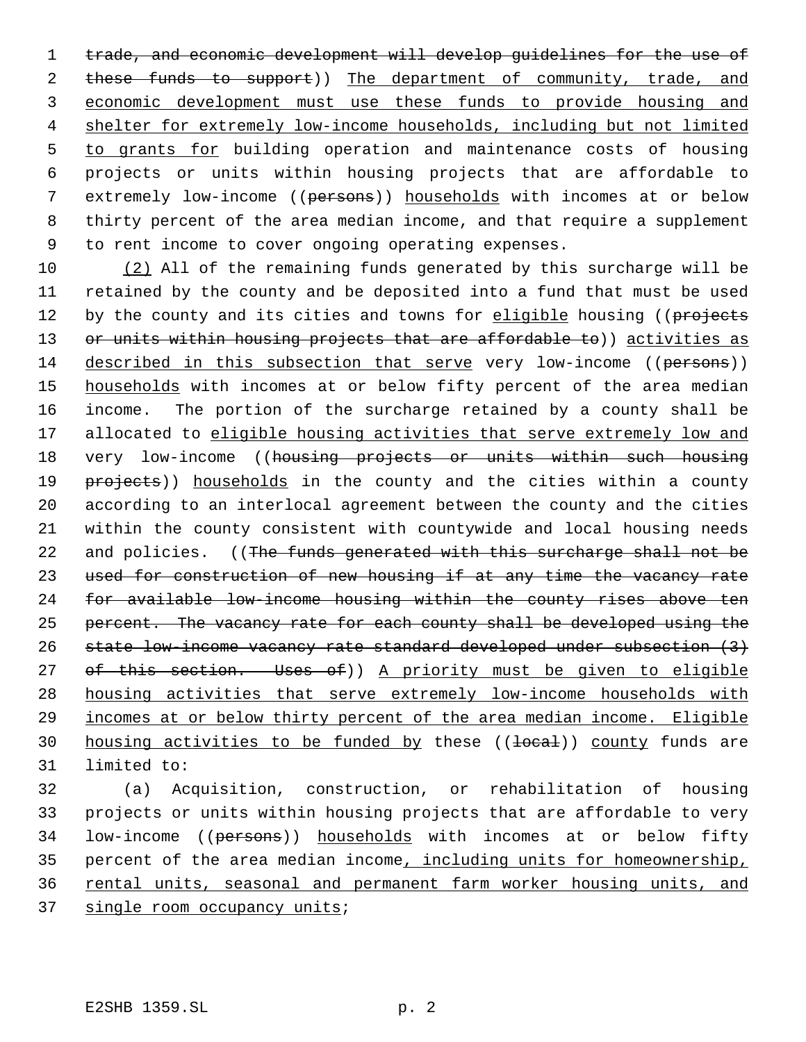trade, and economic development will develop guidelines for the use of 2 these funds to support)) The department of community, trade, and economic development must use these funds to provide housing and shelter for extremely low-income households, including but not limited 5 to grants for building operation and maintenance costs of housing projects or units within housing projects that are affordable to extremely low-income ((persons)) households with incomes at or below thirty percent of the area median income, and that require a supplement to rent income to cover ongoing operating expenses.

10 (2) All of the remaining funds generated by this surcharge will be 11 retained by the county and be deposited into a fund that must be used 12 by the county and its cities and towns for eligible housing ((projects 13 or units within housing projects that are affordable to)) activities as 14 described in this subsection that serve very low-income ((persons)) 15 households with incomes at or below fifty percent of the area median 16 income. The portion of the surcharge retained by a county shall be 17 allocated to eligible housing activities that serve extremely low and 18 very low-income ((housing projects or units within such housing 19 projects)) households in the county and the cities within a county 20 according to an interlocal agreement between the county and the cities 21 within the county consistent with countywide and local housing needs 22 and policies. ((The funds generated with this surcharge shall not be 23 used for construction of new housing if at any time the vacancy rate 24 for available low-income housing within the county rises above ten 25 percent. The vacancy rate for each county shall be developed using the 26 state low-income vacancy rate standard developed under subsection (3) 27 of this section. Uses of)) A priority must be given to eligible 28 housing activities that serve extremely low-income households with 29 incomes at or below thirty percent of the area median income. Eligible 30 housing activities to be funded by these ((local)) county funds are 31 limited to:

 (a) Acquisition, construction, or rehabilitation of housing projects or units within housing projects that are affordable to very 34 low-income ((persons)) households with incomes at or below fifty percent of the area median income, including units for homeownership, rental units, seasonal and permanent farm worker housing units, and 37 single room occupancy units;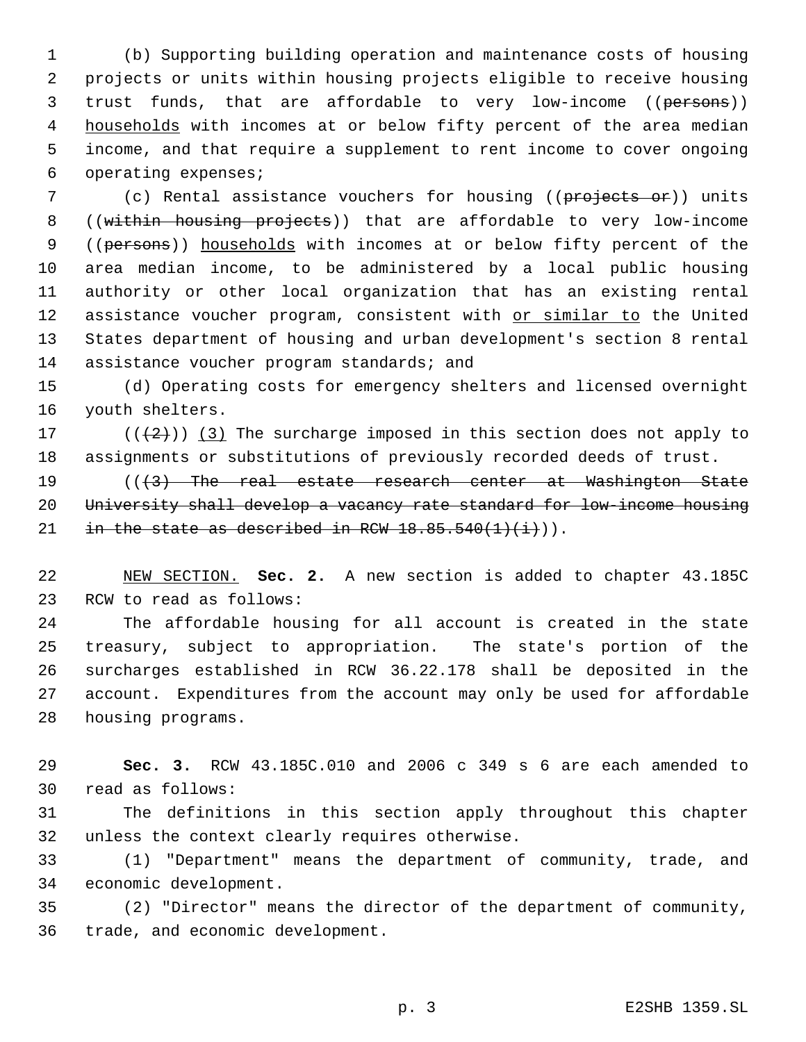(b) Supporting building operation and maintenance costs of housing projects or units within housing projects eligible to receive housing 3 trust funds, that are affordable to very low-income ((persons)) 4 households with incomes at or below fifty percent of the area median income, and that require a supplement to rent income to cover ongoing operating expenses;

7 (c) Rental assistance vouchers for housing ((projects or)) units ((within housing projects)) that are affordable to very low-income 9 ((persons)) households with incomes at or below fifty percent of the area median income, to be administered by a local public housing authority or other local organization that has an existing rental 12 assistance voucher program, consistent with or similar to the United States department of housing and urban development's section 8 rental 14 assistance voucher program standards; and

 (d) Operating costs for emergency shelters and licensed overnight youth shelters.

17 ( $(\frac{1}{2})$ ) (3) The surcharge imposed in this section does not apply to assignments or substitutions of previously recorded deeds of trust.

19 (((3) The real estate research center at Washington State 20 University shall develop a vacancy rate standard for low-income housing 21 in the state as described in RCW  $18.85.540(1)(i)$ ).

 NEW SECTION. **Sec. 2.** A new section is added to chapter 43.185C RCW to read as follows:

 The affordable housing for all account is created in the state treasury, subject to appropriation. The state's portion of the surcharges established in RCW 36.22.178 shall be deposited in the account. Expenditures from the account may only be used for affordable housing programs.

 **Sec. 3.** RCW 43.185C.010 and 2006 c 349 s 6 are each amended to read as follows:

 The definitions in this section apply throughout this chapter unless the context clearly requires otherwise.

 (1) "Department" means the department of community, trade, and economic development.

 (2) "Director" means the director of the department of community, trade, and economic development.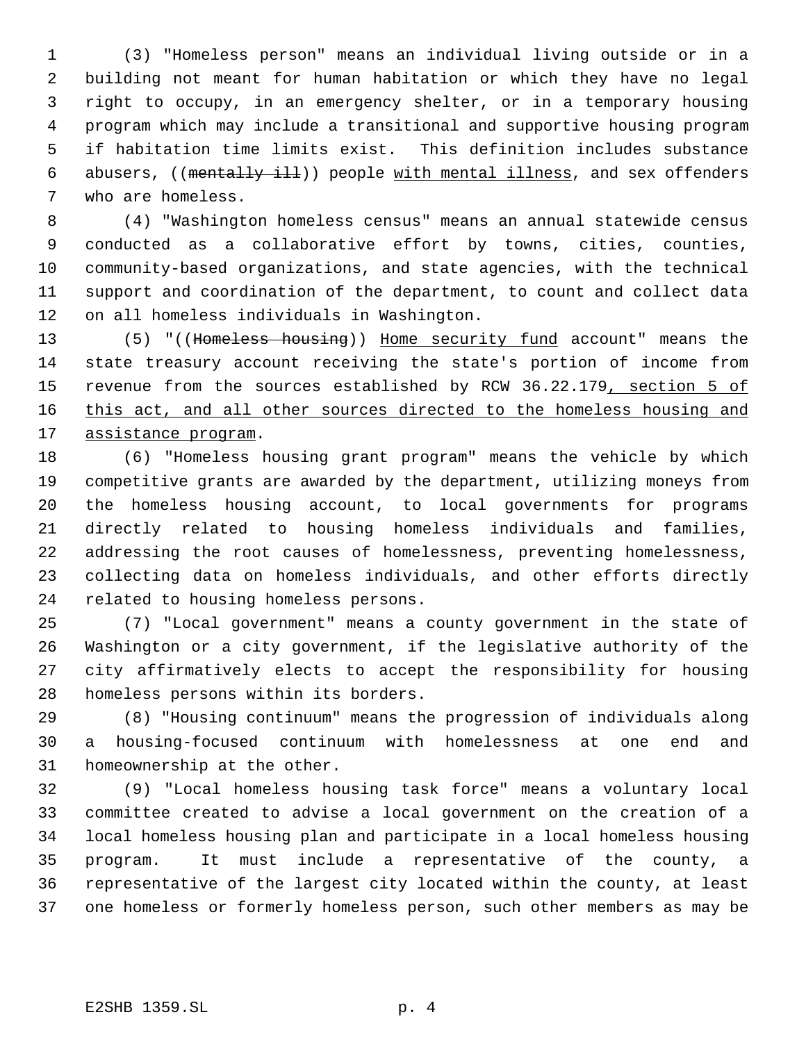(3) "Homeless person" means an individual living outside or in a building not meant for human habitation or which they have no legal right to occupy, in an emergency shelter, or in a temporary housing program which may include a transitional and supportive housing program if habitation time limits exist. This definition includes substance 6 abusers, ((mentally ill)) people with mental illness, and sex offenders who are homeless.

 (4) "Washington homeless census" means an annual statewide census conducted as a collaborative effort by towns, cities, counties, community-based organizations, and state agencies, with the technical support and coordination of the department, to count and collect data on all homeless individuals in Washington.

 (5) "((Homeless housing)) Home security fund account" means the state treasury account receiving the state's portion of income from 15 revenue from the sources established by RCW 36.22.179, section 5 of 16 this act, and all other sources directed to the homeless housing and assistance program.

 (6) "Homeless housing grant program" means the vehicle by which competitive grants are awarded by the department, utilizing moneys from the homeless housing account, to local governments for programs directly related to housing homeless individuals and families, addressing the root causes of homelessness, preventing homelessness, collecting data on homeless individuals, and other efforts directly related to housing homeless persons.

 (7) "Local government" means a county government in the state of Washington or a city government, if the legislative authority of the city affirmatively elects to accept the responsibility for housing homeless persons within its borders.

 (8) "Housing continuum" means the progression of individuals along a housing-focused continuum with homelessness at one end and homeownership at the other.

 (9) "Local homeless housing task force" means a voluntary local committee created to advise a local government on the creation of a local homeless housing plan and participate in a local homeless housing program. It must include a representative of the county, a representative of the largest city located within the county, at least one homeless or formerly homeless person, such other members as may be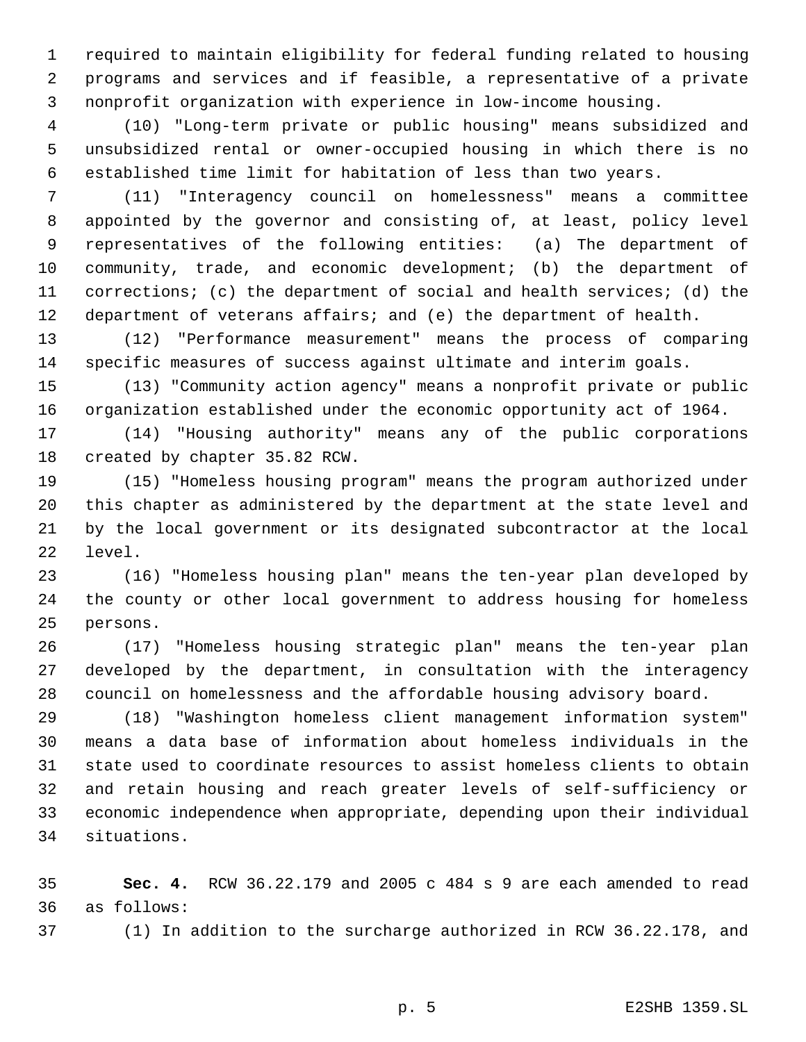required to maintain eligibility for federal funding related to housing programs and services and if feasible, a representative of a private nonprofit organization with experience in low-income housing.

 (10) "Long-term private or public housing" means subsidized and unsubsidized rental or owner-occupied housing in which there is no established time limit for habitation of less than two years.

 (11) "Interagency council on homelessness" means a committee appointed by the governor and consisting of, at least, policy level representatives of the following entities: (a) The department of community, trade, and economic development; (b) the department of corrections; (c) the department of social and health services; (d) the department of veterans affairs; and (e) the department of health.

 (12) "Performance measurement" means the process of comparing specific measures of success against ultimate and interim goals.

 (13) "Community action agency" means a nonprofit private or public organization established under the economic opportunity act of 1964.

 (14) "Housing authority" means any of the public corporations created by chapter 35.82 RCW.

 (15) "Homeless housing program" means the program authorized under this chapter as administered by the department at the state level and by the local government or its designated subcontractor at the local level.

 (16) "Homeless housing plan" means the ten-year plan developed by the county or other local government to address housing for homeless persons.

 (17) "Homeless housing strategic plan" means the ten-year plan developed by the department, in consultation with the interagency council on homelessness and the affordable housing advisory board.

 (18) "Washington homeless client management information system" means a data base of information about homeless individuals in the state used to coordinate resources to assist homeless clients to obtain and retain housing and reach greater levels of self-sufficiency or economic independence when appropriate, depending upon their individual situations.

 **Sec. 4.** RCW 36.22.179 and 2005 c 484 s 9 are each amended to read as follows:

(1) In addition to the surcharge authorized in RCW 36.22.178, and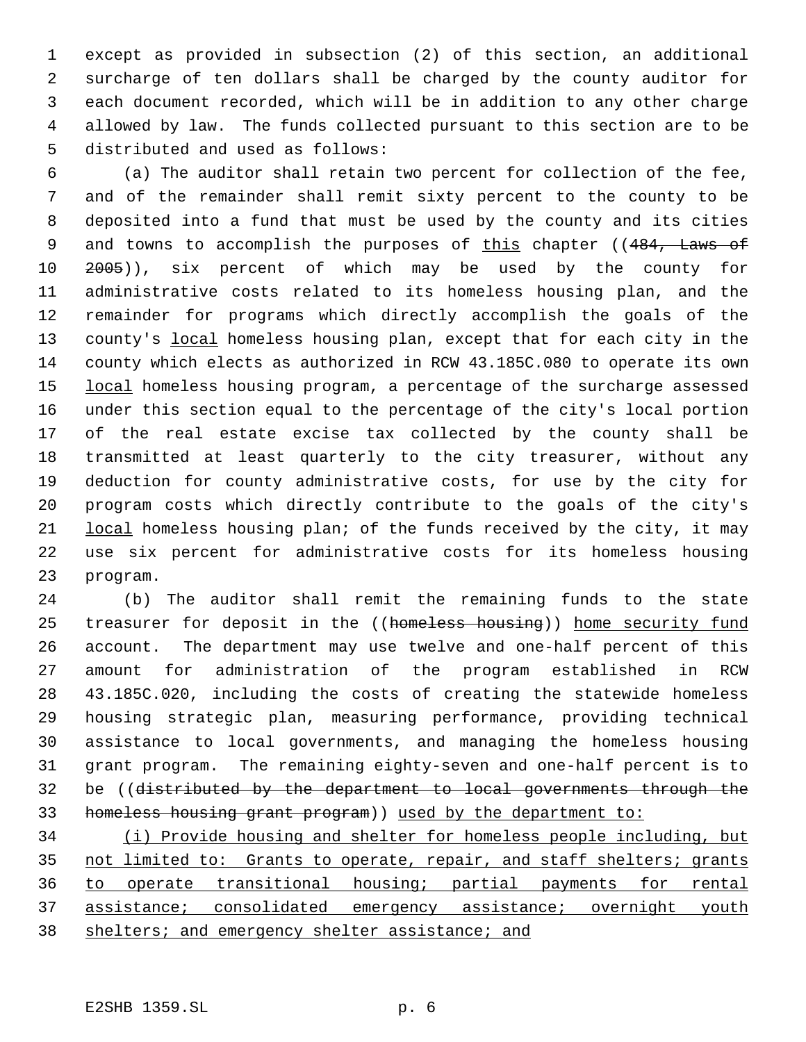except as provided in subsection (2) of this section, an additional surcharge of ten dollars shall be charged by the county auditor for each document recorded, which will be in addition to any other charge allowed by law. The funds collected pursuant to this section are to be distributed and used as follows:

 (a) The auditor shall retain two percent for collection of the fee, and of the remainder shall remit sixty percent to the county to be deposited into a fund that must be used by the county and its cities 9 and towns to accomplish the purposes of this chapter ((484, Laws of 2005)), six percent of which may be used by the county for administrative costs related to its homeless housing plan, and the remainder for programs which directly accomplish the goals of the 13 county's local homeless housing plan, except that for each city in the county which elects as authorized in RCW 43.185C.080 to operate its own 15 local homeless housing program, a percentage of the surcharge assessed under this section equal to the percentage of the city's local portion of the real estate excise tax collected by the county shall be transmitted at least quarterly to the city treasurer, without any deduction for county administrative costs, for use by the city for program costs which directly contribute to the goals of the city's local homeless housing plan; of the funds received by the city, it may use six percent for administrative costs for its homeless housing program.

 (b) The auditor shall remit the remaining funds to the state 25 treasurer for deposit in the ((homeless housing)) home security fund account. The department may use twelve and one-half percent of this amount for administration of the program established in RCW 43.185C.020, including the costs of creating the statewide homeless housing strategic plan, measuring performance, providing technical assistance to local governments, and managing the homeless housing grant program. The remaining eighty-seven and one-half percent is to be ((distributed by the department to local governments through the homeless housing grant program)) used by the department to:

 (i) Provide housing and shelter for homeless people including, but 35 not limited to: Grants to operate, repair, and staff shelters; grants to operate transitional housing; partial payments for rental assistance; consolidated emergency assistance; overnight youth 38 shelters; and emergency shelter assistance; and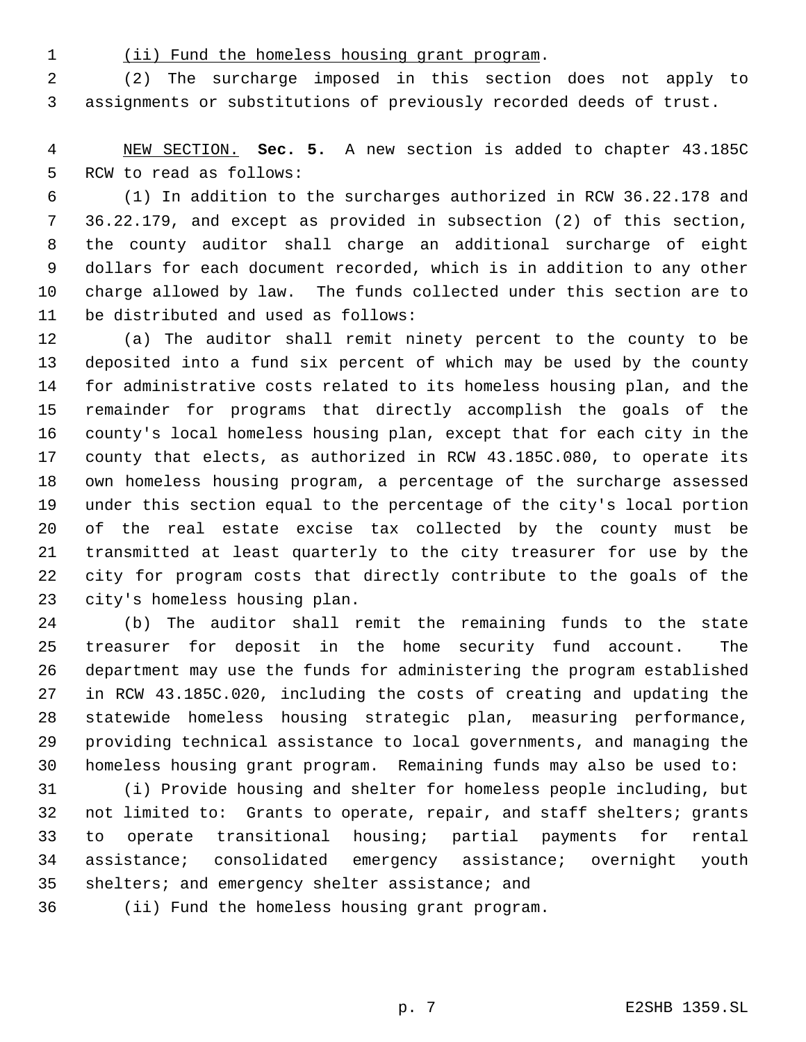(ii) Fund the homeless housing grant program.

 (2) The surcharge imposed in this section does not apply to assignments or substitutions of previously recorded deeds of trust.

 NEW SECTION. **Sec. 5.** A new section is added to chapter 43.185C RCW to read as follows:

 (1) In addition to the surcharges authorized in RCW 36.22.178 and 36.22.179, and except as provided in subsection (2) of this section, the county auditor shall charge an additional surcharge of eight dollars for each document recorded, which is in addition to any other charge allowed by law. The funds collected under this section are to be distributed and used as follows:

 (a) The auditor shall remit ninety percent to the county to be deposited into a fund six percent of which may be used by the county for administrative costs related to its homeless housing plan, and the remainder for programs that directly accomplish the goals of the county's local homeless housing plan, except that for each city in the county that elects, as authorized in RCW 43.185C.080, to operate its own homeless housing program, a percentage of the surcharge assessed under this section equal to the percentage of the city's local portion of the real estate excise tax collected by the county must be transmitted at least quarterly to the city treasurer for use by the city for program costs that directly contribute to the goals of the city's homeless housing plan.

 (b) The auditor shall remit the remaining funds to the state treasurer for deposit in the home security fund account. The department may use the funds for administering the program established in RCW 43.185C.020, including the costs of creating and updating the statewide homeless housing strategic plan, measuring performance, providing technical assistance to local governments, and managing the homeless housing grant program. Remaining funds may also be used to:

 (i) Provide housing and shelter for homeless people including, but not limited to: Grants to operate, repair, and staff shelters; grants to operate transitional housing; partial payments for rental assistance; consolidated emergency assistance; overnight youth shelters; and emergency shelter assistance; and

(ii) Fund the homeless housing grant program.